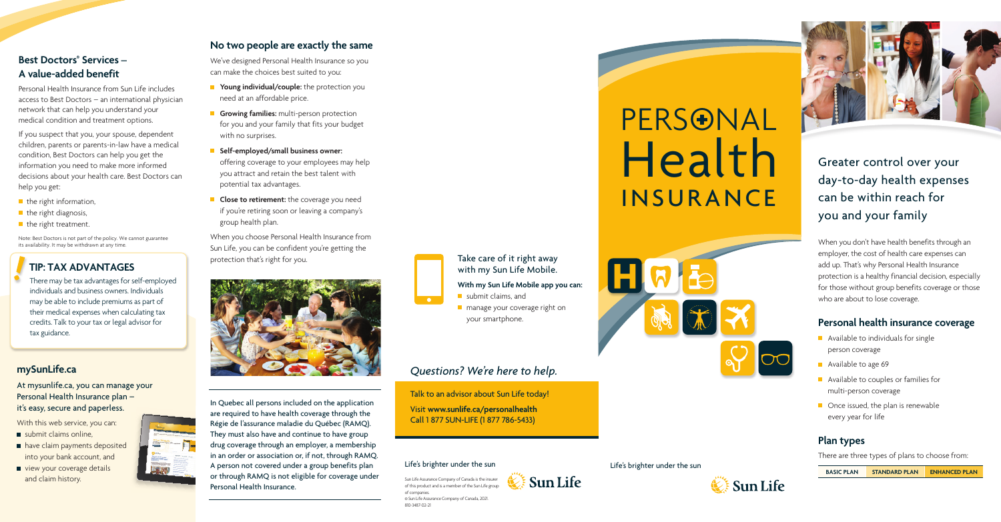### Life's brighter under the sun





Life's brighter under the sun







Greater control over your day-to-day health expenses can be within reach for you and your family

When you don't have health benefits through an employer, the cost of health care expenses can add up. That's why Personal Health Insurance protection is a healthy financial decision, especially for those without group benefits coverage or those who are about to lose coverage.

- **Available to individuals for single** person coverage
- Available to age 69
- **Available to couples or families for** multi-person coverage
- Once issued, the plan is renewable every year for life

## **Best Doctors<sup>®</sup> Services – A value-added benefit**

## **Personal health insurance coverage**

## **Plan types**

There are three types of plans to choose from:

**BASIC PLAN STANDARD PLAN ENHANCED PLAN**



Personal Health Insurance from Sun Life includes access to Best Doctors – an international physician network that can help you understand your medical condition and treatment options.

- $\blacksquare$  submit claims online.
- have claim payments deposited into your bank account, and
- view your coverage details and claim history.



If you suspect that you, your spouse, dependent children, parents or parents-in-law have a medical condition, Best Doctors can help you get the information you need to make more informed decisions about your health care. Best Doctors can help you get:

- $\blacksquare$  the right information,
- $\blacksquare$  the right diagnosis,
- $\blacksquare$  the right treatment.
- **Young individual/couple:** the protection you need at an affordable price.
- **Growing families:** multi-person protection for you and your family that fits your budget with no surprises.
- **Self-employed/small business owner:** offering coverage to your employees may help you attract and retain the best talent with potential tax advantages.
- **Close to retirement:** the coverage you need if you're retiring soon or leaving a company's group health plan.

Note: Best Doctors is not part of the policy. We cannot guarantee its availability. It may be withdrawn at any time.

## **TIP: TAX ADVANTAGES**

There may be tax advantages for self-employed individuals and business owners. Individuals may be able to include premiums as part of their medical expenses when calculating tax credits. Talk to your tax or legal advisor for tax guidance.

- submit claims, and
- **n** manage your coverage right on your smartphone.

## **[mySunLife.ca](http://mySunLife.ca)**

At [mysunlife.ca,](http://mySunLife.ca) you can manage your Personal Health Insurance plan – it's easy, secure and paperless.

With this web service, you can:

## **No two people are exactly the same**

We've designed Personal Health Insurance so you can make the choices best suited to you:

When you choose Personal Health Insurance from Sun Life, you can be confident you're getting the protection that's right for you.



In Quebec all persons included on the application are required to have health coverage through the Régie de l'assurance maladie du Québec (RAMQ). They must also have and continue to have group drug coverage through an employer, a membership in an order or association or, if not, through RAMQ. A person not covered under a group benefits plan or through RAMQ is not eligible for coverage under Personal Health Insurance.



Take care of it right away with my Sun Life Mobile.

**With my Sun Life Mobile app you can:**

# *Questions? We're here to help.*

Talk to an advisor about Sun Life today! Visit **[www.sunlife.ca/personalhealth](http://www.sunlife.ca/personalhealth)** Call 1 877 SUN-LIFE (1 877 786-5433)

Sun Life Assurance Company of Canada is the insurer of this product and is a member of the Sun Life group of companies. © Sun Life Assurance Company of Canada, 2021. 810-3487-02-21